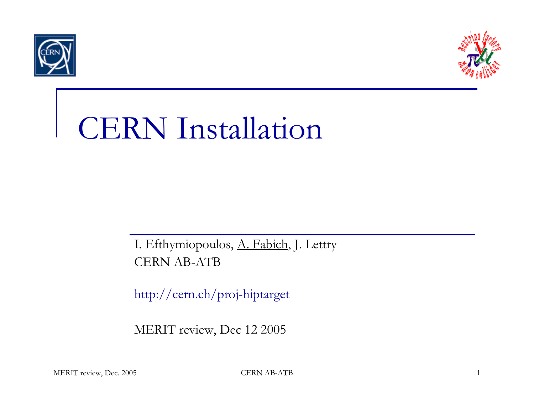



## CERN Installation

I. Efthymiopoulos, A. Fabich, J. Lettry CERN AB-ATB

http://cern.ch/proj-hiptarget

MERIT review, Dec 12 2005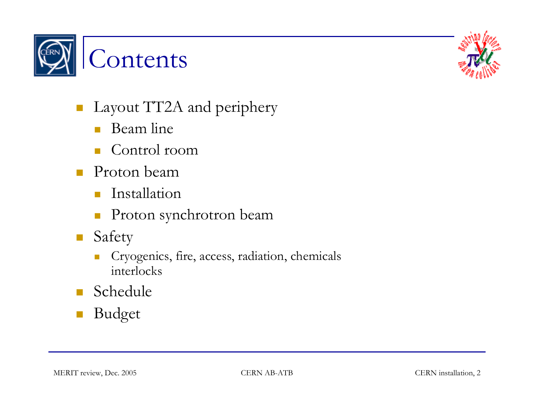



- $\mathcal{L}_{\mathcal{A}}$  Layout TT2A and periphery
	- $\mathcal{L}_{\mathcal{A}}$ Beam line
	- $\mathcal{C}^{\mathcal{A}}$ ■ Control room
- $\mathcal{L}^{\mathcal{L}}$ ■ Proton beam
	- $\mathcal{L}^{\mathcal{L}}$ Installation
	- $\mathcal{L}_{\mathcal{A}}$ Proton synchrotron beam
- $\mathcal{L}(\mathcal{A})$  Safety
	- $\left\lceil \cdot \right\rceil$  Cryogenics, fire, access, radiation, chemicals interlocks
- Schedule
- Budget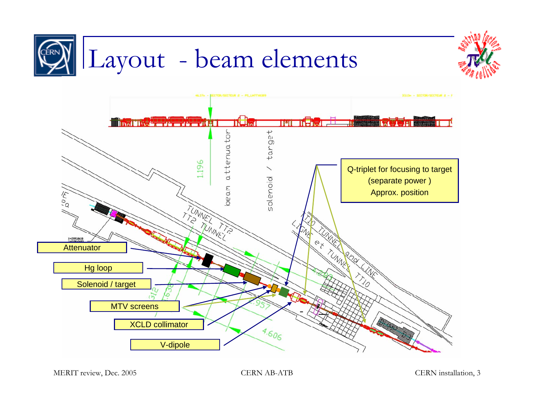

MERIT review, Dec. 2005 CERN AB-ATB CERN AB-ATB CERN installation, 3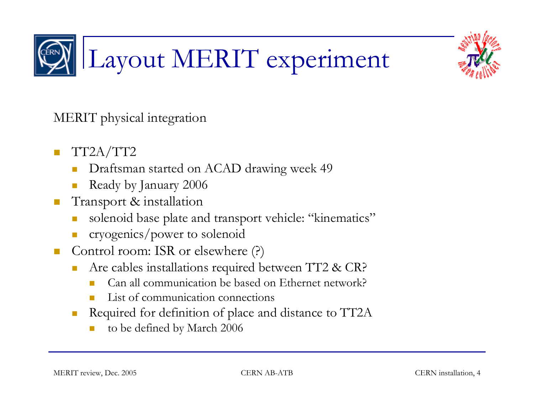

# Layout MERIT experiment

MERIT physical integration

- T. TT2A/TT2
	- Draftsman started on ACAD drawing week 49
	- Ready by January 2006
- $\mathcal{L}_{\mathcal{A}}$  Transport & installation
	- solenoid base plate and transport vehicle: "kinematics"
	- $\mathbb{R}^n$ cryogenics/power to solenoid
- $\mathcal{L}(\mathcal{A})$  Control room: ISR or elsewhere (?)
	- Are cables installations required between TT2 & CR?
		- Can all communication be based on Ethernet network?
		- Π List of communication connections
	- Required for definition of place and distance to TT2A
		- to be defined by March 2006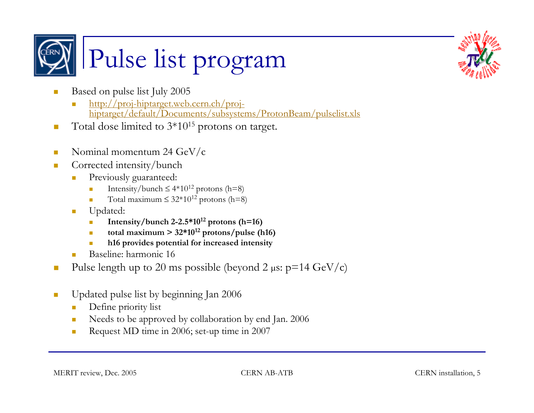



- $\mathcal{L}_{\mathcal{A}}$  Based on pulse list July 2005
	- http://proj-hiptarget.web.cern.ch/projhiptarget/default/Documents/subsystems/ProtonBeam/pulselist.xls
- $\mathcal{L}_{\mathcal{A}}$ Total dose limited to  $3*10^{15}$  protons on target.
- $\mathcal{L}_{\mathcal{A}}$ Nominal momentum 24 GeV/c
- $\overline{\phantom{a}}$  Corrected intensity/bunch
	- $\mathcal{L}_{\mathcal{A}}$  Previously guaranteed:
		- Π Intensity/bunch  $\leq 4*10^{12}$  protons (h=8)
		- Π Total maximum  $\leq 32*10^{12}$  protons (h=8)
	- × Updated:
		- Intensity/bunch  $2-2.5*10^{12}$  protons (h=16)
		- total maximum  $> 32*10^{12}$  protons/pulse (h16)
		- Π **h16 provides potential for increased intensity**
	- Baseline: harmonic 16
- $\mathcal{L}_{\mathcal{A}}$ Pulse length up to 20 ms possible (beyond 2  $\mu$ s: p=14 GeV/c)
- $\mathcal{L}_{\mathcal{A}}$  Updated pulse list by beginning Jan 2006
	- $\mathbf{r}$ Define priority list
	- $\mathcal{C}^{\mathcal{A}}$ Needs to be approved by collaboration by end Jan. 2006
	- **The State** Request MD time in 2006; set-up time in 2007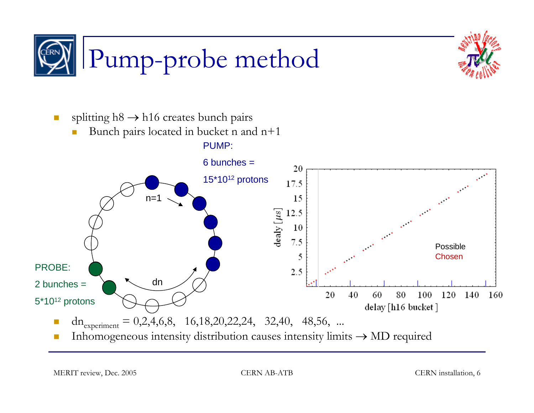



 $\mathbb{R}^3$ splitting  $h8 \rightarrow h16$  creates bunch pairs

П Bunch pairs located in bucket n and n+1



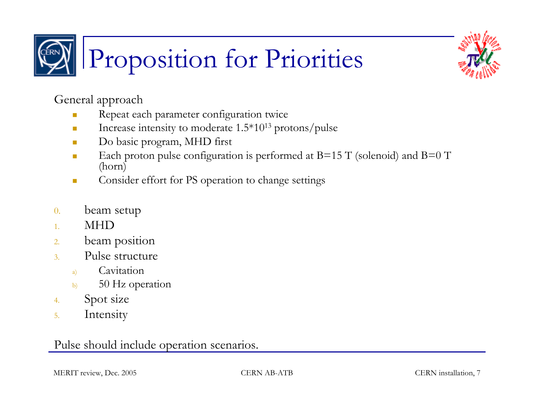



General approach

- $\mathbf{r}$ Repeat each parameter configuration twice
- $\mathcal{L}_{\mathcal{A}}$ Increase intensity to moderate 1.5\*1013 protons/pulse
- $\mathcal{L}_{\mathcal{A}}$ Do basic program, MHD first
- $\mathbf{r}$ Each proton pulse configuration is performed at  $B=15$  T (solenoid) and  $B=0$  T (horn)
- $\mathbf{r}$ Consider effort for PS operation to change settings
- 0.beam setup
- 1.MHD
- 2.beam position
- 3. Pulse structure
	- a) Cavitation
	- b) 50 Hz operation
- 4.Spot size
- 5.Intensity

### Pulse should include operation scenarios.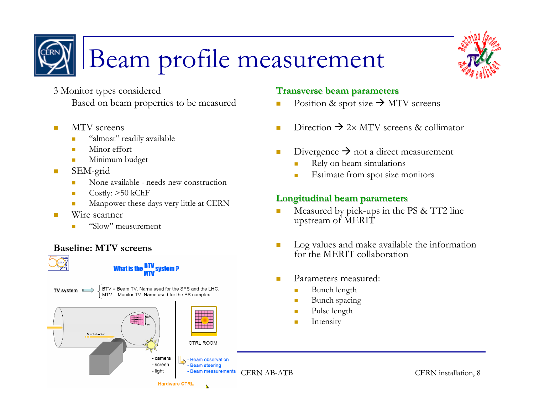



### Beam profile measurement

- 3 Monitor types considered Based on beam properties to be measured
- $\blacksquare$  MTV screens
	- "almost" readily available
	- ٠ Minor effort
	- ٠ Minimum budget
- $\mathcal{L}_{\mathcal{A}}$  SEM-grid
	- None available needs new construction
	- Г Costly: >50 kChF
	- Г Manpower these days very little at CERN
- $\blacksquare$  Wire scanner
	- "Slow" measurement

#### **Baseline: MTV screens**





- screen

**Hardware CTF** 



**Beam observation** 

**Beam steering** 

#### **Transverse beam parameters Transverse beam parameters**

- m. Position & spot size  $\rightarrow$  MTV screens
- $\mathcal{L}_{\mathcal{A}}$ Direction  $\rightarrow$  2× MTV screens & collimator
- **COL** Divergence  $\rightarrow$  not a direct measurement
	- ×. Rely on beam simulations
	- $\mathcal{L}_{\mathcal{A}}$ Estimate from spot size monitors

#### **Longitudinal beam parameters Longitudinal beam parameters**

- Measured by pick-ups in the PS & TT2 line upstream of MERIT
- Log values and make available the information for the MERIT collaboration
- Parameters measured:
	- $\mathcal{L}_{\mathcal{A}}$ Bunch length
	- $\blacksquare$ Bunch spacing
	- $\blacksquare$ Pulse length
	- **I** Intensity

- light Feam measurements CERN AB-ATB CERN installation, 8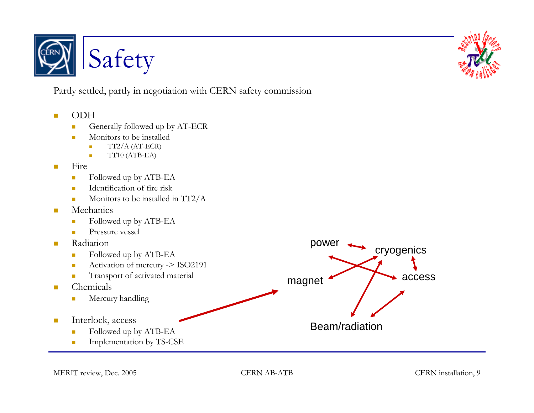



Partly settled, partly in negotiation with CERN safety commission

- $\mathcal{L}_{\mathcal{A}}$  ODH
	- $\blacksquare$ Generally followed up by AT-ECR
	- $\mathcal{L}_{\mathcal{A}}$  Monitors to be installed
		- i. TT2/A (AT-ECR)
		- Ì. TT10 (ATB-EA)
- $\mathcal{L}_{\mathcal{A}}$  Fire
	- $\overline{\phantom{a}}$ Followed up by ATB-EA
	- $\overline{\mathbf{u}}$ Identification of fire risk
	- $\mathbf{r}$ Monitors to be installed in TT2/A
- $\mathbf{r}$  Mechanics
	- $\mathcal{L}_{\mathcal{A}}$ Followed up by ATB-EA
	- $\overline{\mathbb{R}}$ Pressure vessel
- $\blacksquare$  Radiation
	- $\overline{\mathbb{R}^2}$ Followed up by ATB-EA
	- $\overline{\phantom{a}}$ Activation of mercury -> ISO2191
	- $\overline{\mathbb{R}^2}$ Transport of activated material
- ш Chemicals
	- $\mathcal{L}_{\mathcal{A}}$ Mercury handling
- $\mathcal{L}_{\mathcal{A}}$  Interlock, access
	- $\overline{\mathbb{R}^2}$ Followed up by ATB-EA
	- $\mathcal{L}_{\mathcal{A}}$ Implementation by TS-CSE

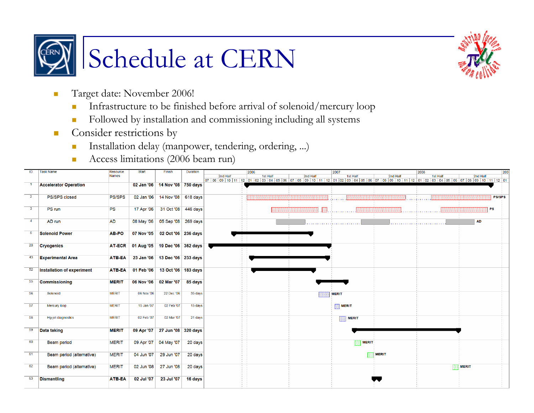



- $\mathcal{L}_{\mathcal{A}}$  Target date: November 2006!
	- $\overline{\mathbb{R}^n}$ Infrastructure to be finished before arrival of solenoid/mercury loop
	- $\mathcal{C}^{\mathcal{A}}$ Followed by installation and commissioning including all systems
- $\vert \cdot \vert$  Consider restrictions by
	- $\mathcal{C}^{\mathcal{A}}$ Installation delay (manpower, tendering, ordering, ...)
	- $\overline{\phantom{a}}$ Access limitations (2006 beam run)

| ID              | <b>Task Name</b>                  | Resource      | <b>Start</b> | Finish                         | <b>Duration</b> | 2006<br>2008<br>2007                                                                                                                                        | 200                  |
|-----------------|-----------------------------------|---------------|--------------|--------------------------------|-----------------|-------------------------------------------------------------------------------------------------------------------------------------------------------------|----------------------|
|                 |                                   | <b>Names</b>  |              |                                |                 | 1st Half<br>2nd Half<br>2nd Half<br>2nd Half<br>1st Half                                                                                                    | 1st Half<br>2nd Half |
|                 |                                   |               |              |                                |                 | 07 08 09 10 11 12 01 02 03 04 05 06 07 08 09 10 11 12 01 02 03 04 05 06 07 08 09 10 11 12 01 02 03 04 05 06 07 08 09 10 11 12 01 05 06 07 08 09 10 11 12 01 |                      |
|                 | <b>Accelerator Operation</b>      |               | 02 Jan '06   | 14 Nov '08 750 days            |                 |                                                                                                                                                             |                      |
|                 |                                   |               |              |                                |                 |                                                                                                                                                             |                      |
| $\overline{2}$  | PS/SPS closed                     | <b>PS/SPS</b> | 02 Jan '06   | 14 Nov '08 618 days            |                 |                                                                                                                                                             | <b>PS/SPS</b>        |
|                 |                                   |               |              |                                |                 |                                                                                                                                                             |                      |
| 3               | PS run                            | <b>PS</b>     | 17 Apr '06   | 31 Oct '08 446 days            |                 |                                                                                                                                                             | <b>PS</b>            |
|                 |                                   |               |              |                                |                 |                                                                                                                                                             |                      |
| $\overline{4}$  |                                   | <b>AD</b>     |              | 05 Sep '08 269 days            |                 |                                                                                                                                                             | <b>AD</b>            |
|                 | AD run                            |               | 08 May '06   |                                |                 |                                                                                                                                                             |                      |
|                 |                                   |               |              |                                |                 |                                                                                                                                                             |                      |
| 5 <sub>5</sub>  | <b>Solenoid Power</b>             | AB-PO         | 07 Nov '05   | 02 Oct '06 236 days            |                 |                                                                                                                                                             |                      |
|                 |                                   |               |              |                                |                 |                                                                                                                                                             |                      |
| 20 <sub>2</sub> | <b>Cryogenics</b>                 | <b>AT-ECR</b> | 01 Aug '05   | 19 Dec '06 362 days            |                 |                                                                                                                                                             |                      |
|                 |                                   |               |              |                                |                 |                                                                                                                                                             |                      |
| 43              | <b>Experimental Area</b>          | ATB-EA        |              | 23 Jan '06 13 Dec '06 233 days |                 |                                                                                                                                                             |                      |
|                 |                                   |               |              |                                |                 |                                                                                                                                                             |                      |
|                 |                                   |               |              |                                |                 |                                                                                                                                                             |                      |
| 52              | <b>Installation of experiment</b> | <b>ATB-EA</b> | 01 Feb '06   | 13 Oct '06 183 days            |                 |                                                                                                                                                             |                      |
|                 |                                   |               |              |                                |                 |                                                                                                                                                             |                      |
| 55              | <b>Commissioning</b>              | <b>MERIT</b>  | 06 Nov '06   | 02 Mar '07                     | 85 days         |                                                                                                                                                             |                      |
|                 |                                   |               |              |                                |                 |                                                                                                                                                             |                      |
| 56              | Solenoid                          | <b>MERIT</b>  | 06 Nov '06   | 22 Dec '06                     | 35 days         | <b>MERIT</b>                                                                                                                                                |                      |
|                 |                                   |               |              |                                |                 |                                                                                                                                                             |                      |
| 57              | Mercury loop                      | <b>MERIT</b>  | 15 Jan '07   | 02 Feb '07                     | 15 days         | <b>MERIT</b>                                                                                                                                                |                      |
|                 |                                   |               |              |                                |                 |                                                                                                                                                             |                      |
| 58              | Hq-jet diagnostics                | <b>MERIT</b>  | 02 Feb '07   | 02 Mar '07                     | 21 days         |                                                                                                                                                             |                      |
|                 |                                   |               |              |                                |                 | <b>MERIT</b>                                                                                                                                                |                      |
|                 |                                   |               |              |                                |                 |                                                                                                                                                             |                      |
| 59              | <b>Data taking</b>                | <b>MERIT</b>  | 09 Apr '07   | 27 Jun '08 320 days            |                 |                                                                                                                                                             |                      |
|                 |                                   |               |              |                                |                 |                                                                                                                                                             |                      |
| 60              | <b>Beam period</b>                | <b>MERIT</b>  | 09 Apr '07   | 04 May '07                     | 20 days         | <b>MERIT</b>                                                                                                                                                |                      |
|                 |                                   |               |              |                                |                 |                                                                                                                                                             |                      |
| 61              |                                   | <b>MERIT</b>  | 04 Jun '07   | 29 Jun '07                     |                 | <b>MERIT</b>                                                                                                                                                |                      |
|                 | Beam period (alternative)         |               |              |                                | 20 days         |                                                                                                                                                             |                      |
|                 |                                   |               |              |                                |                 |                                                                                                                                                             |                      |
| 62              | Beam period (alternative)         | <b>MERIT</b>  | 02 Jun '08   | 27 Jun '08                     | 20 days         |                                                                                                                                                             | <b>MERIT</b>         |
|                 |                                   |               |              |                                |                 |                                                                                                                                                             |                      |
| 63              | <b>Dismantling</b>                | <b>ATB-EA</b> | 02 Jul '07   | 23 Jul '07                     | 16 days         |                                                                                                                                                             |                      |
|                 |                                   |               |              |                                |                 |                                                                                                                                                             |                      |
|                 |                                   |               |              |                                |                 |                                                                                                                                                             |                      |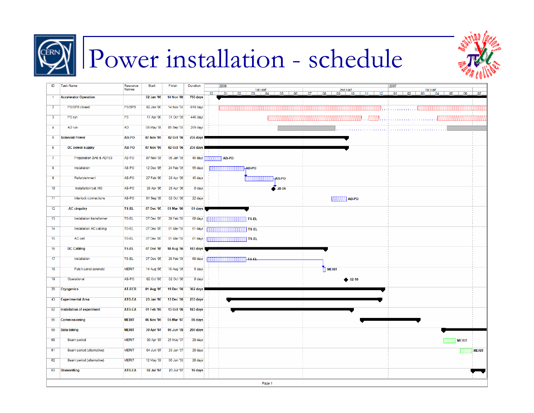

### Power installation - schedule



| ID                      | <b>Task Name</b>                  | Resource<br><b>Names</b> | Start      | Finish            | <b>Duration</b> | 2006<br>2007            |
|-------------------------|-----------------------------------|--------------------------|------------|-------------------|-----------------|-------------------------|
| $\overline{1}$          | <b>Accelerator Operation</b>      |                          | 02 Jan '06 | <b>14 Nov '08</b> | 750 days        | $-07$<br>12             |
| $\overline{2}$          | PS/SPS closed                     | <b>PS/SPS</b>            | 02 Jan '06 | 14 Nov '08        | 618 days        |                         |
| $\overline{\mathbf{3}}$ | PS run                            | <b>PS</b>                | 17 Apr '06 | 31 Oct '08        | 446 days        |                         |
| $\overline{4}$          | AD run                            | <b>AD</b>                | 08 May '06 | 05 Sep '08        | 269 days        |                         |
| $\overline{5}$          | <b>Solenoid Power</b>             | AB-PO                    | 07 Nov '05 | 02 Oct '06        | 236 days        |                         |
| -6                      | DC power supply                   | AB-PO                    | 07 Nov '05 | 02 Oct '06        | 236 days        |                         |
| $\overline{7}$          | Preparation BA6 & AD193           | AB-PO                    | 07 Nov '05 | 06 Jan '06        | 45 days         | AB-PO                   |
| 8                       | Installation                      | AB-PO                    | 12 Dec '05 | 24 Feb '06        | 55 days         | AB-PO                   |
| -9                      | Refurbishment                     | AB-PO                    | 27 Feb '06 | 28 Apr '06        | 45 days         | AB-PO                   |
| 10                      | installation bat. 193             | AB-PO                    | 28 Apr '06 | 28 Apr '06        | 0 days          | $\bullet$ 28-04         |
| 11                      | Interlock connections             | AB-PO                    | 01 Sep '06 | 02 Oct '06        | 22 days         | <b>AB-PO</b>            |
| 12                      | -AC cirquitry                     | TS-EL                    | 07 Dec '05 | 01 Mar '06        | 61 days         |                         |
| 13                      | <b>Installation transformer</b>   | TS-EL                    | 07 Dec '05 | 28 Feb '06        | 60 days         | <b>BERBERGE TS-EL</b>   |
| 14                      | Installation AC cabling           | <b>TS-EL</b>             | 07 Dec '05 | 01 Mar '06        | 61 days         | <b>BRE</b> TS-EL        |
| 15                      | AC cell                           | <b>TS-EL</b>             | 07 Dec '05 | 01 Mar '06        | 61 days         | तत्का TS-EL             |
| 16                      | <b>DC Cabling</b>                 | TS-EL                    | 07 Dec '05 | 18 Aug '06        | 183 days        |                         |
| 17                      | Installation                      | <b>TS-EL</b>             | 07 Dec '05 | 28 Feb '06        | 60 days         | ा १९ घ                  |
| 18                      | Patch panel solenoid              | <b>MERIT</b>             | 14 Aug '06 | 18 Aug '06        | 5 days          | <b>MERIT</b>            |
| 19                      | Operational                       | AB-PO                    | 02 Oct '06 | 02 Oct '06        | 0 days          | $\bullet$ 02-10         |
| 20                      | <b>Cryogenics</b>                 | <b>AT-ECR</b>            | 01 Aug '05 | 19 Dec '06        | 362 days        |                         |
| 43                      | <b>Experimental Area</b>          | ATB-EA                   | 23 Jan '06 | 13 Dec '06        | 233 days        |                         |
| 52                      | <b>Installation of experiment</b> | ATB-EA                   | 01 Feb '06 | 13 Oct '06        | 183 days        |                         |
| 55                      | Commissioning                     | <b>MERIT</b>             | 06 Nov '06 | 05 Mar '07        | 86 days         |                         |
| 59                      | Data taking                       | <b>MERIT</b>             | 30 Apr '07 | 06 Jun '08        | 290 days        |                         |
| 60                      | Beam period                       | <b>MERIT</b>             | 30 Apr '07 | 25 May '07        | 20 days         | <b>BEERED MERIT</b>     |
| 61                      | Beam period (alternative)         | <b>MERIT</b>             | 04 Jun '07 | 29 Jun '07        | 20 days         | <b>MERIT</b><br>,,,,,,, |
| 62                      | Beam period (alternative)         | <b>MERIT</b>             | 12 May '08 | 06 Jun '08        | 20 days         |                         |
| 63                      | <b>Dismantling</b>                | <b>ATB-EA</b>            | 02 Jul '07 | 23 Jul '07        | 16 days         |                         |
|                         |                                   |                          |            |                   |                 | Page 1                  |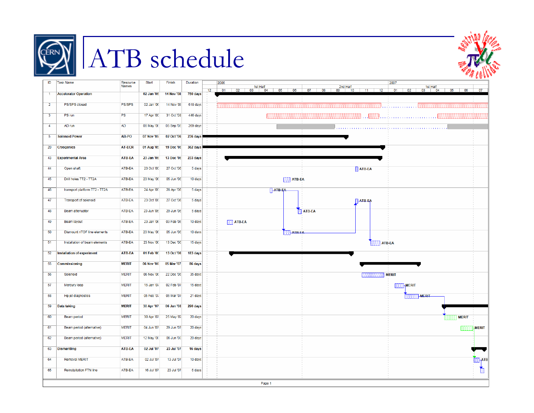

# **ERN** ATB schedule



|                         |                                |                          |            |                   |          | <b>ALC ALC</b>                                                                                                                                |
|-------------------------|--------------------------------|--------------------------|------------|-------------------|----------|-----------------------------------------------------------------------------------------------------------------------------------------------|
| ID                      | <b>Task Name</b>               | Resource<br><b>Names</b> | Start      | Finish            | Duration | 2006<br>2007<br>1st Half<br>02 03 04 05 06<br>$2nd Half$<br>$\boxed{09}$ $\boxed{10}$ $\boxed{11}$ $\boxed{12}$<br>1st Half<br>02 03 04 05 06 |
| -1                      | <b>Accelerator Operation</b>   |                          | 02 Jan '06 | <b>14 Nov '08</b> | 750 days | $07$ 08<br>07<br>12<br>01<br>01                                                                                                               |
| $\overline{2}$          | PS/SPS closed                  | <b>PS/SPS</b>            | 02 Jan '06 | 14 Nov '08        | 618 days |                                                                                                                                               |
| $\overline{\mathbf{3}}$ | PS run                         | PS                       | 17 Apr '06 | 31 Oct '08        | 446 days |                                                                                                                                               |
| -4                      | AD run                         | <b>AD</b>                | 08 May '06 | 05 Sep '08        | 269 days |                                                                                                                                               |
| -5                      | <b>Solenoid Power</b>          | AB-PO                    | 07 Nov '05 | 02 Oct '06        | 236 days |                                                                                                                                               |
| 20                      | <b>Cryogenics</b>              | <b>AT-ECR</b>            | 01 Aug '05 | 19 Dec '06        | 362 days |                                                                                                                                               |
| 43                      | <b>Experimental Area</b>       | ATB-EA                   | 23 Jan '06 | 13 Dec '06        | 233 days |                                                                                                                                               |
| 44                      | Open shaft                     | ATB-EA                   | 23 Oct '06 | 27 Oct '06        | 5 days   | <b>ATB-EA</b>                                                                                                                                 |
| 45                      | Drill holes TT2 - TT2A         | ATB-EA                   | 23 May '06 | 05 Jun '06        | 10 days  | <b>ETE</b> ATB-EA                                                                                                                             |
| 46                      | transport platform TT2 - TT2A  | ATB-EA                   | 24 Apr '06 | 28 Apr '06        | 5 days   | 447B FA                                                                                                                                       |
| 47                      | <b>Transport of solenoid</b>   | ATB-EA                   | 23 Oct '06 | 27 Oct '06        | 5 days   | <b>ATB EA</b>                                                                                                                                 |
| 48                      | Beam attenuator                | ATB-EA                   | 23 Jun '06 | 29 Jun '06        | 5 days   | <b>EL ATB-EA</b>                                                                                                                              |
| 49                      | Beam layout                    | ATB-EA                   | 23 Jan '06 | 03 Feb '06        | 10 days  | $E = \frac{1}{2}$ ATB-EA                                                                                                                      |
| 50                      | Dismount nTOF line elements    | ATB-EA                   | 23 May '06 | 05 Jun '06        | 10 days  | <b>ES ATB EA</b>                                                                                                                              |
| 51                      | Installation of beam elements  | ATB-EA                   | 23 Nov '06 | 13 Dec '06        | 15 days  | <b>ATB-EA</b>                                                                                                                                 |
| 52                      | Installation of experiment     | <b>ATB-EA</b>            | 01 Feb '06 | 13 Oct '06        | 183 days |                                                                                                                                               |
| 55                      | <b>Commissioning</b>           | <b>MERIT</b>             | 06 Nov '06 | 05 Mar '07        | 86 days  |                                                                                                                                               |
| 56                      | Solenoid                       | <b>MERIT</b>             | 06 Nov '06 | 22 Dec '06        | 35 days  | <b>BEER MERIT</b>                                                                                                                             |
| 57                      | Mercury loop                   | <b>MERIT</b>             | 15 Jan '07 | 02 Feb '07        | 15 days  | <b>EELMERIT</b>                                                                                                                               |
| 58                      | Hg-jet diagnostics             | <b>MERIT</b>             | 05 Feb '07 | 05 Mar '07        | 21 days  | <b>RESERVALE RIT</b>                                                                                                                          |
| 59                      | Data taking                    | <b>MERIT</b>             | 30 Apr '07 | 06 Jun '08        | 290 days |                                                                                                                                               |
| 60                      | Beam period                    | <b>MERIT</b>             | 30 Apr '07 | 25 May '07        | 20 days  | <b>MERIT</b>                                                                                                                                  |
| 61                      | Beam period (alternative)      | <b>MERIT</b>             | 04 Jun '07 | 29 Jun '07        | 20 days  | <b>MERIT</b>                                                                                                                                  |
| 62                      | Beam period (alternative)      | <b>MERIT</b>             | 12 May '08 | 06 Jun '08        | 20 days  |                                                                                                                                               |
| 63                      | <b>Dismantling</b>             | ATB-EA                   | 02 Jul '07 | 23 Jul '07        | 16 days  |                                                                                                                                               |
|                         |                                |                          |            |                   |          |                                                                                                                                               |
| 64                      | <b>Removal MERIT</b>           | ATB-EA                   | 02 Jul '07 | 13 Jul '07        | 10 days  | ЪАТВ                                                                                                                                          |
| 65                      | <b>Reinstallation FTN line</b> | ATB-EA                   | 16 Jul '07 | 23 Jul '07        | 6 days   | Ò                                                                                                                                             |
|                         |                                |                          |            |                   |          | Dogo 1                                                                                                                                        |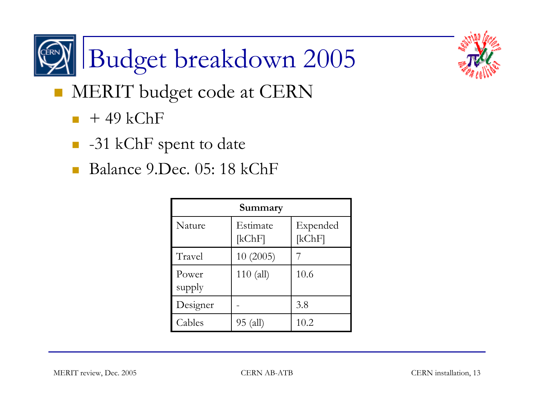



- **NERIT** budget code at CERN
	- $\blacksquare$  + 49 kChF
	- -31 kChF spent to date
	- Balance 9.Dec. 05: 18 kChF

| Summary         |                    |                    |  |  |  |
|-----------------|--------------------|--------------------|--|--|--|
| Nature          | Estimate<br>[kChF] | Expended<br>[kChF] |  |  |  |
| Travel          | 10(2005)           |                    |  |  |  |
| Power<br>supply | $110$ (all)        | 10.6               |  |  |  |
| Designer        |                    | 3.8                |  |  |  |
| Cables          | 95 (all)           | 10.2               |  |  |  |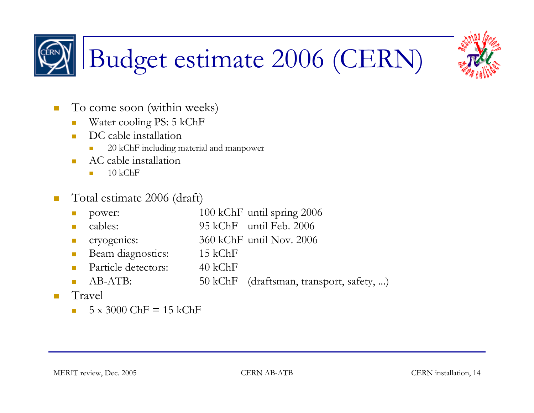## Budget estimate 2006 (CERN)

- $\mathbb{R}^3$  To come soon (within weeks)
	- $\overline{\phantom{a}}$ Water cooling PS: 5 kChF
	- $\mathbf{r}$ DC cable installation
		- **COL** 20 kChF including material and manpower
	- ▉ AC cable installation
		- m. 10 kChF
- $\mathcal{C}^{\mathcal{A}}$  Total estimate 2006 (draft)
	- $\mathcal{C}^{\mathcal{A}}$ power: 100 kChF until spring 2006
	- $\mathcal{L}_{\mathcal{A}}$ cables: 95 kChF until Feb. 2006
	- $\mathcal{L}_{\mathcal{A}}$ cryogenics: 360 kChF until Nov. 2006
	- $\overline{\phantom{a}}$ Beam diagnostics: 15 kChF
	- $\mathbf{r}$ Particle detectors: 40 kChF
	- m. AB-ATB: 50 kChF (draftsman, transport, safety, ...)
- $\overline{\phantom{a}}$  Travel
	- ▉  $5 \times 3000$  ChF = 15 kChF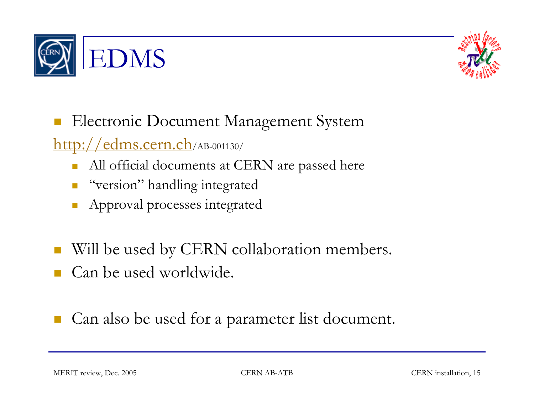



#### $\mathcal{L}^{\mathcal{A}}$ Electronic Document Management System

http://edms.cern.ch/AB-001130/

- П All official documents at CERN are passed here
- "version" handling integrated
- П Approval processes integrated
- T. Will be used by CERN collaboration members.
- Can be used worldwide.
- Can also be used for a parameter list document.

MERIT review, Dec. 2005 CERN AB-ATB CERN Installation, 15